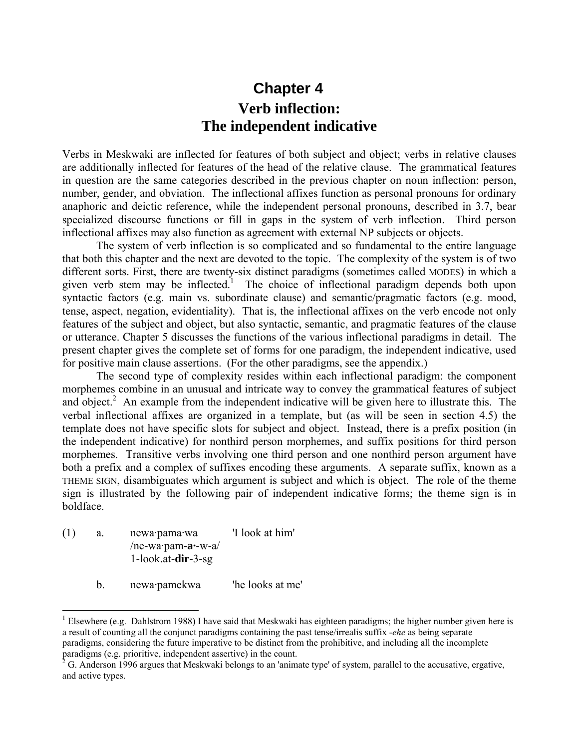## **Chapter 4 Verb inflection: The independent indicative**

Verbs in Meskwaki are inflected for features of both subject and object; verbs in relative clauses are additionally inflected for features of the head of the relative clause. The grammatical features in question are the same categories described in the previous chapter on noun inflection: person, number, gender, and obviation. The inflectional affixes function as personal pronouns for ordinary anaphoric and deictic reference, while the independent personal pronouns, described in 3.7, bear specialized discourse functions or fill in gaps in the system of verb inflection. Third person inflectional affixes may also function as agreement with external NP subjects or objects.

The system of verb inflection is so complicated and so fundamental to the entire language that both this chapter and the next are devoted to the topic. The complexity of the system is of two different sorts. First, there are twenty-six distinct paradigms (sometimes called MODES) in which a given verb stem may be inflected.<sup>1</sup> The choice of inflectional paradigm depends both upon syntactic factors (e.g. main vs. subordinate clause) and semantic/pragmatic factors (e.g. mood, tense, aspect, negation, evidentiality). That is, the inflectional affixes on the verb encode not only features of the subject and object, but also syntactic, semantic, and pragmatic features of the clause or utterance. Chapter 5 discusses the functions of the various inflectional paradigms in detail. The present chapter gives the complete set of forms for one paradigm, the independent indicative, used for positive main clause assertions. (For the other paradigms, see the appendix.)

The second type of complexity resides within each inflectional paradigm: the component morphemes combine in an unusual and intricate way to convey the grammatical features of subject and object.<sup>2</sup> An example from the independent indicative will be given here to illustrate this. The verbal inflectional affixes are organized in a template, but (as will be seen in section 4.5) the template does not have specific slots for subject and object. Instead, there is a prefix position (in the independent indicative) for nonthird person morphemes, and suffix positions for third person morphemes. Transitive verbs involving one third person and one nonthird person argument have both a prefix and a complex of suffixes encoding these arguments. A separate suffix, known as a THEME SIGN, disambiguates which argument is subject and which is object. The role of the theme sign is illustrated by the following pair of independent indicative forms; the theme sign is in boldface.

(1) a. newa·pama·wa 'I look at him' /ne-wa·pam-**a·**-w-a/ 1-look.at-**dir**-3-sg

1

b. newa·pamekwa 'he looks at me'

<sup>&</sup>lt;sup>1</sup> Elsewhere (e.g. Dahlstrom 1988) I have said that Meskwaki has eighteen paradigms; the higher number given here is a result of counting all the conjunct paradigms containing the past tense/irrealis suffix -*ehe* as being separate paradigms, considering the future imperative to be distinct from the prohibitive, and including all the incomplete paradigms (e.g. prioritive, independent assertive) in the count.<br><sup>2</sup> G. Anderson 1996 argues that Meskwaki belongs to an 'animate type' of system, parallel to the accusative, ergative,

and active types.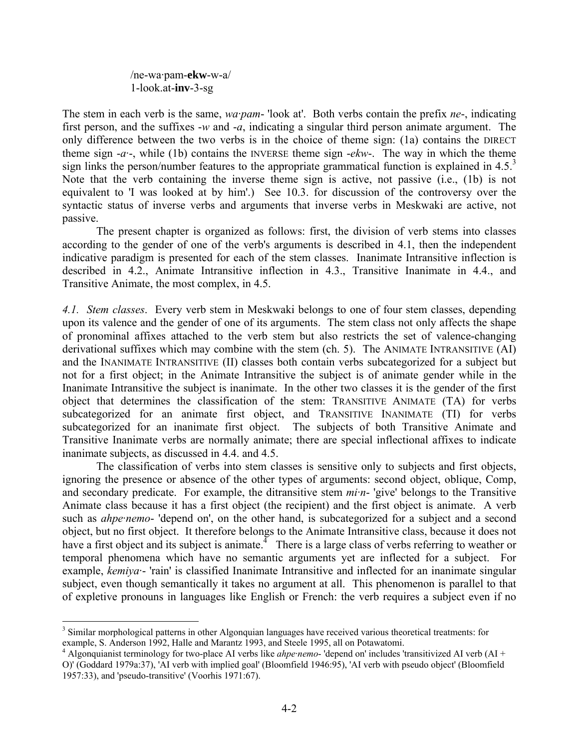/ne-wa·pam-**ekw**-w-a/ 1-look.at-**inv**-3-sg

The stem in each verb is the same, *wa·pam*- 'look at'. Both verbs contain the prefix *ne*-, indicating first person, and the suffixes -*w* and -*a*, indicating a singular third person animate argument. The only difference between the two verbs is in the choice of theme sign: (1a) contains the DIRECT theme sign -*a·*-, while (1b) contains the INVERSE theme sign -*ekw*-. The way in which the theme sign links the person/number features to the appropriate grammatical function is explained in  $4.5<sup>3</sup>$ Note that the verb containing the inverse theme sign is active, not passive (i.e., (1b) is not equivalent to 'I was looked at by him'.) See 10.3. for discussion of the controversy over the syntactic status of inverse verbs and arguments that inverse verbs in Meskwaki are active, not passive.

The present chapter is organized as follows: first, the division of verb stems into classes according to the gender of one of the verb's arguments is described in 4.1, then the independent indicative paradigm is presented for each of the stem classes. Inanimate Intransitive inflection is described in 4.2., Animate Intransitive inflection in 4.3., Transitive Inanimate in 4.4., and Transitive Animate, the most complex, in 4.5.

*4.1. Stem classes*. Every verb stem in Meskwaki belongs to one of four stem classes, depending upon its valence and the gender of one of its arguments. The stem class not only affects the shape of pronominal affixes attached to the verb stem but also restricts the set of valence-changing derivational suffixes which may combine with the stem (ch. 5). The ANIMATE INTRANSITIVE (AI) and the INANIMATE INTRANSITIVE (II) classes both contain verbs subcategorized for a subject but not for a first object; in the Animate Intransitive the subject is of animate gender while in the Inanimate Intransitive the subject is inanimate. In the other two classes it is the gender of the first object that determines the classification of the stem: TRANSITIVE ANIMATE (TA) for verbs subcategorized for an animate first object, and TRANSITIVE INANIMATE (TI) for verbs subcategorized for an inanimate first object. The subjects of both Transitive Animate and Transitive Inanimate verbs are normally animate; there are special inflectional affixes to indicate inanimate subjects, as discussed in 4.4. and 4.5.

The classification of verbs into stem classes is sensitive only to subjects and first objects, ignoring the presence or absence of the other types of arguments: second object, oblique, Comp, and secondary predicate. For example, the ditransitive stem *mi·n*- 'give' belongs to the Transitive Animate class because it has a first object (the recipient) and the first object is animate. A verb such as *ahpe·nemo*- 'depend on', on the other hand, is subcategorized for a subject and a second object, but no first object. It therefore belongs to the Animate Intransitive class, because it does not have a first object and its subject is animate.<sup> $\text{I}$ </sup> There is a large class of verbs referring to weather or temporal phenomena which have no semantic arguments yet are inflected for a subject. For example, *kemiya·*- 'rain' is classified Inanimate Intransitive and inflected for an inanimate singular subject, even though semantically it takes no argument at all. This phenomenon is parallel to that of expletive pronouns in languages like English or French: the verb requires a subject even if no

<sup>&</sup>lt;sup>3</sup> Similar morphological patterns in other Algonquian languages have received various theoretical treatments: for example, S. Anderson 1992, Halle and Marantz 1993, and Steele 1995, all on Potawatomi. 4

<sup>&</sup>lt;sup>4</sup> Algonquianist terminology for two-place AI verbs like *ahpe·nemo*- 'depend on' includes 'transitivized AI verb (AI + O)' (Goddard 1979a:37), 'AI verb with implied goal' (Bloomfield 1946:95), 'AI verb with pseudo object' (Bloomfield 1957:33), and 'pseudo-transitive' (Voorhis 1971:67).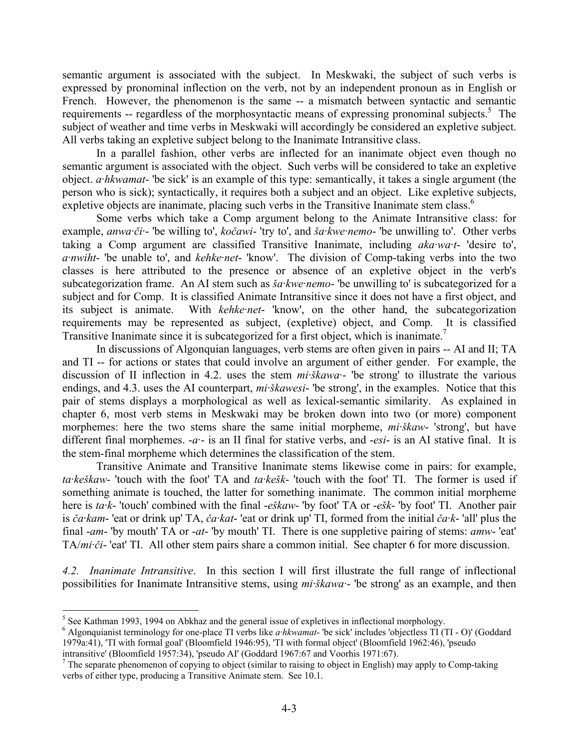semantic argument is associated with the subject. In Meskwaki, the subject of such verbs is expressed by pronominal inflection on the verb, not by an independent pronoun as in English or French. However, the phenomenon is the same -- a mismatch between syntactic and semantic requirements -- regardless of the morphosyntactic means of expressing pronominal subjects.<sup>5</sup> The subject of weather and time verbs in Meskwaki will accordingly be considered an expletive subject. All verbs taking an expletive subject belong to the Inanimate Intransitive class.

In a parallel fashion, other verbs are inflected for an inanimate object even though no semantic argument is associated with the object. Such verbs will be considered to take an expletive object. *a·hkwamat*- 'be sick' is an example of this type: semantically, it takes a single argument (the person who is sick); syntactically, it requires both a subject and an object. Like expletive subjects, expletive objects are inanimate, placing such verbs in the Transitive Inanimate stem class.<sup>6</sup>

Some verbs which take a Comp argument belong to the Animate Intransitive class: for example, *anwa·či·*- 'be willing to', *kočawi*- 'try to', and *ša·kwe·nemo*- 'be unwilling to'. Other verbs taking a Comp argument are classified Transitive Inanimate, including *aka·wa·t*- 'desire to', *a·nwiht*- 'be unable to', and *kehke·net*- 'know'. The division of Comp-taking verbs into the two classes is here attributed to the presence or absence of an expletive object in the verb's subcategorization frame. An AI stem such as *ša·kwe·nemo*- 'be unwilling to' is subcategorized for a subject and for Comp. It is classified Animate Intransitive since it does not have a first object, and its subject is animate. With *kehke·net*- 'know', on the other hand, the subcategorization requirements may be represented as subject, (expletive) object, and Comp. It is classified Transitive Inanimate since it is subcategorized for a first object, which is inanimate.<sup>7</sup>

In discussions of Algonquian languages, verb stems are often given in pairs -- AI and II; TA and TI -- for actions or states that could involve an argument of either gender. For example, the discussion of II inflection in 4.2. uses the stem *mi·škawa·*- 'be strong' to illustrate the various endings, and 4.3. uses the AI counterpart, *mi·škawesi*- 'be strong', in the examples. Notice that this pair of stems displays a morphological as well as lexical-semantic similarity. As explained in chapter 6, most verb stems in Meskwaki may be broken down into two (or more) component morphemes: here the two stems share the same initial morpheme, *mi·škaw*- 'strong', but have different final morphemes. -*a·*- is an II final for stative verbs, and -*esi*- is an AI stative final. It is the stem-final morpheme which determines the classification of the stem.

Transitive Animate and Transitive Inanimate stems likewise come in pairs: for example, *ta·keškaw*- 'touch with the foot' TA and *ta·kešk*- 'touch with the foot' TI. The former is used if something animate is touched, the latter for something inanimate. The common initial morpheme here is *ta·k*- 'touch' combined with the final -*eškaw*- 'by foot' TA or -*ešk*- 'by foot' TI. Another pair is *ča·kam*- 'eat or drink up' TA, *ča·kat*- 'eat or drink up' TI, formed from the initial *ča·k*- 'all' plus the final -*am*- 'by mouth' TA or -*at*- 'by mouth' TI. There is one suppletive pairing of stems: *amw*- 'eat' TA/*mi·či*- 'eat' TI. All other stem pairs share a common initial. See chapter 6 for more discussion.

*4.2. Inanimate Intransitive*. In this section I will first illustrate the full range of inflectional possibilities for Inanimate Intransitive stems, using *mi·škawa·*- 'be strong' as an example, and then

<sup>&</sup>lt;sup>5</sup> See Kathman 1993, 1994 on Abkhaz and the general issue of expletives in inflectional morphology.

<sup>6</sup> Algonquianist terminology for one-place TI verbs like *a·hkwamat*- 'be sick' includes 'objectless TI (TI - O)' (Goddard 1979a:41), 'TI with formal goal' (Bloomfield 1946:95), 'TI with formal object' (Bloomfield 1962:46), 'pseudo intransitive' (Bloomfield 1957:34), 'pseudo AI' (Goddard 1967:67 and Voorhis 1971:67). 7

The separate phenomenon of copying to object (similar to raising to object in English) may apply to Comp-taking verbs of either type, producing a Transitive Animate stem. See 10.1.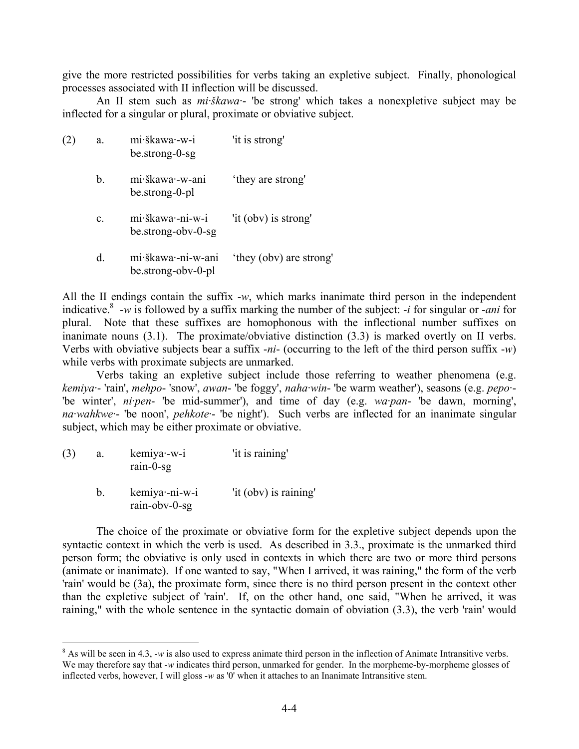give the more restricted possibilities for verbs taking an expletive subject. Finally, phonological processes associated with II inflection will be discussed.

An II stem such as *mi·škawa·*- 'be strong' which takes a nonexpletive subject may be inflected for a singular or plural, proximate or obviative subject.

| (2) | a.             | mi·škawa·-w-i<br>be.strong-0-sg               | 'it is strong'          |
|-----|----------------|-----------------------------------------------|-------------------------|
|     | b.             | mi škawa - w-ani<br>be.strong-0-pl            | 'they are strong'       |
|     | $\mathbf{c}$ . | mi·škawa·-ni-w-i<br>be.strong-obv-0-sg        | 'it (obv) is strong'    |
|     | d.             | mi škawa - ni - w - ani<br>be.strong-obv-0-pl | 'they (obv) are strong' |

All the II endings contain the suffix -*w*, which marks inanimate third person in the independent indicative.8 -*w* is followed by a suffix marking the number of the subject: -*i* for singular or -*ani* for plural. Note that these suffixes are homophonous with the inflectional number suffixes on inanimate nouns (3.1). The proximate/obviative distinction (3.3) is marked overtly on II verbs. Verbs with obviative subjects bear a suffix -*ni*- (occurring to the left of the third person suffix -*w*) while verbs with proximate subjects are unmarked.

Verbs taking an expletive subject include those referring to weather phenomena (e.g. *kemiya·*- 'rain', *mehpo*- 'snow', *awan*- 'be foggy', *naha·win*- 'be warm weather'), seasons (e.g. *pepo·*- 'be winter', *ni·pen*- 'be mid-summer'), and time of day (e.g. *wa·pan*- 'be dawn, morning', *na·wahkwe·*- 'be noon', *pehkote·*- 'be night'). Such verbs are inflected for an inanimate singular subject, which may be either proximate or obviative.

| (3) | a. | kemiya - w-i<br>rain-0-sg        | 'it is raining'       |
|-----|----|----------------------------------|-----------------------|
|     | h. | kemiya - ni-w-i<br>rain-obv-0-sg | 'it (obv) is raining' |

1

The choice of the proximate or obviative form for the expletive subject depends upon the syntactic context in which the verb is used. As described in 3.3., proximate is the unmarked third person form; the obviative is only used in contexts in which there are two or more third persons (animate or inanimate). If one wanted to say, "When I arrived, it was raining," the form of the verb 'rain' would be (3a), the proximate form, since there is no third person present in the context other than the expletive subject of 'rain'. If, on the other hand, one said, "When he arrived, it was raining," with the whole sentence in the syntactic domain of obviation (3.3), the verb 'rain' would

 $8$  As will be seen in 4.3, -*w* is also used to express animate third person in the inflection of Animate Intransitive verbs. We may therefore say that -*w* indicates third person, unmarked for gender. In the morpheme-by-morpheme glosses of inflected verbs, however, I will gloss -*w* as '0' when it attaches to an Inanimate Intransitive stem.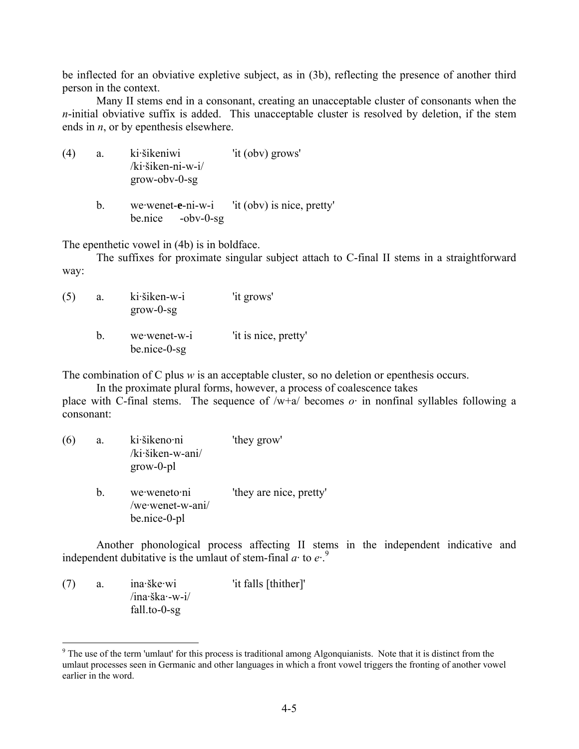be inflected for an obviative expletive subject, as in (3b), reflecting the presence of another third person in the context.

Many II stems end in a consonant, creating an unacceptable cluster of consonants when the *n*-initial obviative suffix is added. This unacceptable cluster is resolved by deletion, if the stem ends in *n*, or by epenthesis elsewhere.

| (4) | a. | ki šikeniwi                           | 'it (obv) grows' |
|-----|----|---------------------------------------|------------------|
|     |    | $/ki\ddot{\text{si}}$ kien-ni-w-i $/$ |                  |
|     |    | $grow$ - $obv$ - $0$ -sg              |                  |
|     |    |                                       |                  |

b. we·wenet-**e**-ni-w-i 'it (obv) is nice, pretty' be.nice -obv-0-sg

The epenthetic vowel in (4b) is in boldface.

The suffixes for proximate singular subject attach to C-final II stems in a straightforward way:

| (5) | a. | ki šiken-w-i<br>$grow-0-sg$    | 'it grows'           |
|-----|----|--------------------------------|----------------------|
|     | h. | we wenet-w-i<br>$be.nice-0-sg$ | 'it is nice, pretty' |

The combination of C plus *w* is an acceptable cluster, so no deletion or epenthesis occurs.

In the proximate plural forms, however, a process of coalescence takes

place with C-final stems. The sequence of  $/w+a$  becomes  $o$  in nonfinal syllables following a consonant:

| (6) | a. | ki šikeno ni<br>/ki·šiken-w-ani/<br>$grow-0-pl$  | 'they grow'             |
|-----|----|--------------------------------------------------|-------------------------|
|     | b. | we weneto ni<br>/we·wenet-w-ani/<br>be.nice-0-pl | 'they are nice, pretty' |

Another phonological process affecting II stems in the independent indicative and independent dubitative is the umlaut of stem-final  $a \cdot$  to  $e^{9}$ .

(7) a. ina·ške·wi 'it falls [thither]' /ina·ška·-w-i/ fall.to-0-sg

 $9$ <sup>9</sup> The use of the term 'umlaut' for this process is traditional among Algonquianists. Note that it is distinct from the umlaut processes seen in Germanic and other languages in which a front vowel triggers the fronting of another vowel earlier in the word.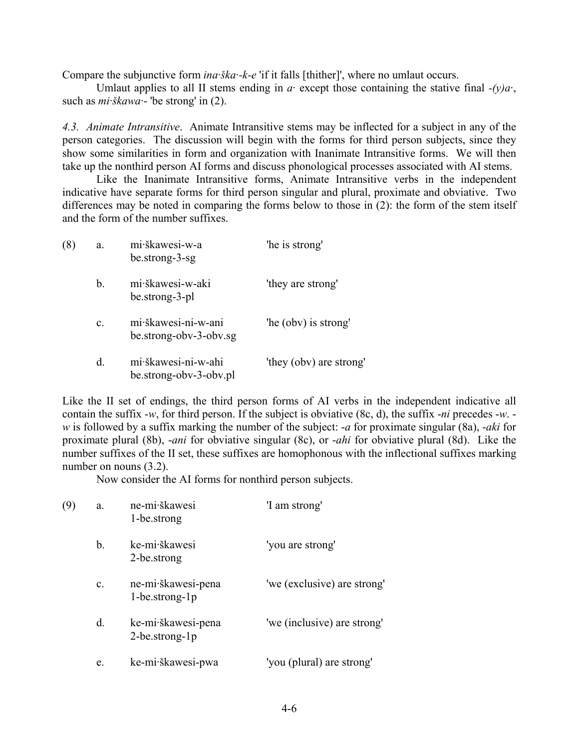Compare the subjunctive form *ina·ška·-k-e* 'if it falls [thither]', where no umlaut occurs.

Umlaut applies to all II stems ending in  $a$  except those containing the stative final  $-(y)a$ . such as *mi·škawa·*- 'be strong' in (2).

*4.3. Animate Intransitive*. Animate Intransitive stems may be inflected for a subject in any of the person categories. The discussion will begin with the forms for third person subjects, since they show some similarities in form and organization with Inanimate Intransitive forms. We will then take up the nonthird person AI forms and discuss phonological processes associated with AI stems.

Like the Inanimate Intransitive forms, Animate Intransitive verbs in the independent indicative have separate forms for third person singular and plural, proximate and obviative. Two differences may be noted in comparing the forms below to those in (2): the form of the stem itself and the form of the number suffixes.

| (8) | a.             | mi škawesi-w-a<br>be.strong-3-sg              | 'he is strong'          |
|-----|----------------|-----------------------------------------------|-------------------------|
|     | b.             | mi škawesi-w-aki<br>be.strong-3-pl            | 'they are strong'       |
|     | $\mathbf{c}$ . | mi škawesi-ni-w-ani<br>be.strong-obv-3-obv.sg | 'he (obv) is strong'    |
|     | d.             | mi·škawesi-ni-w-ahi<br>be.strong-obv-3-obv.pl | 'they (obv) are strong' |

Like the II set of endings, the third person forms of AI verbs in the independent indicative all contain the suffix -*w*, for third person. If the subject is obviative (8c, d), the suffix -*ni* precedes -*w*. *w* is followed by a suffix marking the number of the subject: -*a* for proximate singular (8a), -*aki* for proximate plural (8b), -*ani* for obviative singular (8c), or -*ahi* for obviative plural (8d). Like the number suffixes of the II set, these suffixes are homophonous with the inflectional suffixes marking number on nouns  $(3.2)$ .

Now consider the AI forms for nonthird person subjects.

| (9) | a.             | ne-mi·škawesi<br>1-be.strong               | 'I am strong'               |
|-----|----------------|--------------------------------------------|-----------------------------|
|     | b.             | ke-mi·škawesi<br>2-be.strong               | 'you are strong'            |
|     | $\mathbf{c}$ . | ne-mi·škawesi-pena<br>$1$ -be.strong- $1p$ | 'we (exclusive) are strong' |
|     | d.             | ke-mi·škawesi-pena<br>$2$ -be.strong-1p    | 'we (inclusive) are strong' |
|     | e.             | ke-mi·škawesi-pwa                          | 'you (plural) are strong'   |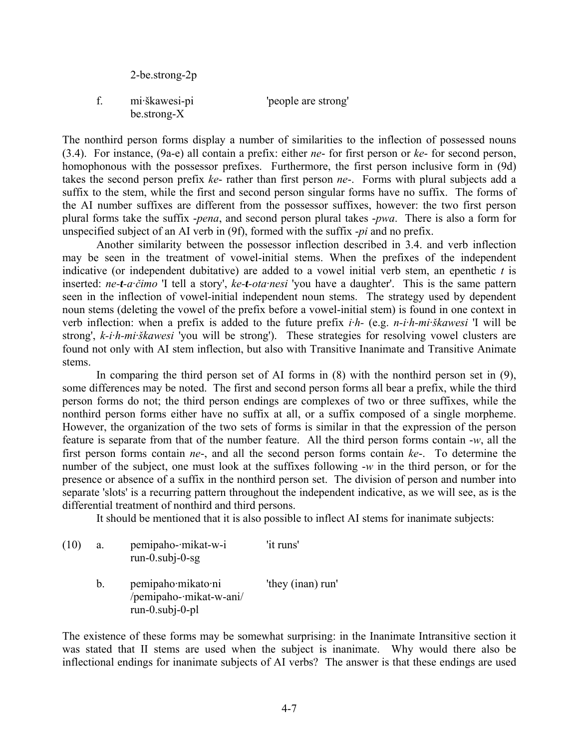|   | 2-be.strong-2p                     |                     |
|---|------------------------------------|---------------------|
| f | mi škawesi-pi<br>$be.$ strong- $X$ | 'people are strong' |

The nonthird person forms display a number of similarities to the inflection of possessed nouns (3.4). For instance, (9a-e) all contain a prefix: either *ne*- for first person or *ke*- for second person, homophonous with the possessor prefixes. Furthermore, the first person inclusive form in (9d) takes the second person prefix *ke*- rather than first person *ne*-. Forms with plural subjects add a suffix to the stem, while the first and second person singular forms have no suffix. The forms of the AI number suffixes are different from the possessor suffixes, however: the two first person plural forms take the suffix -*pena*, and second person plural takes -*pwa*. There is also a form for unspecified subject of an AI verb in (9f), formed with the suffix -*pi* and no prefix.

Another similarity between the possessor inflection described in 3.4. and verb inflection may be seen in the treatment of vowel-initial stems. When the prefixes of the independent indicative (or independent dubitative) are added to a vowel initial verb stem, an epenthetic *t* is inserted: *ne-t-a·čimo* 'I tell a story', *ke-t-ota·nesi* 'you have a daughter'. This is the same pattern seen in the inflection of vowel-initial independent noun stems. The strategy used by dependent noun stems (deleting the vowel of the prefix before a vowel-initial stem) is found in one context in verb inflection: when a prefix is added to the future prefix *i·h-* (e.g. *n-i·h-mi·škawesi* 'I will be strong', *k-i·h-mi·škawesi* 'you will be strong'). These strategies for resolving vowel clusters are found not only with AI stem inflection, but also with Transitive Inanimate and Transitive Animate stems.

In comparing the third person set of AI forms in (8) with the nonthird person set in (9), some differences may be noted. The first and second person forms all bear a prefix, while the third person forms do not; the third person endings are complexes of two or three suffixes, while the nonthird person forms either have no suffix at all, or a suffix composed of a single morpheme. However, the organization of the two sets of forms is similar in that the expression of the person feature is separate from that of the number feature. All the third person forms contain -*w*, all the first person forms contain *ne*-, and all the second person forms contain *ke*-. To determine the number of the subject, one must look at the suffixes following -*w* in the third person, or for the presence or absence of a suffix in the nonthird person set. The division of person and number into separate 'slots' is a recurring pattern throughout the independent indicative, as we will see, as is the differential treatment of nonthird and third persons.

It should be mentioned that it is also possible to inflect AI stems for inanimate subjects:

| (10) | a.      | pemipaho-mikat-w-i<br>$run-0.subj-0-sg$                            | 'it runs'         |
|------|---------|--------------------------------------------------------------------|-------------------|
|      | $b_{-}$ | pemipaho mikato ni<br>/pemipaho-·mikat-w-ani/<br>$run-0.subj-0-pl$ | 'they (inan) run' |

The existence of these forms may be somewhat surprising: in the Inanimate Intransitive section it was stated that II stems are used when the subject is inanimate. Why would there also be inflectional endings for inanimate subjects of AI verbs? The answer is that these endings are used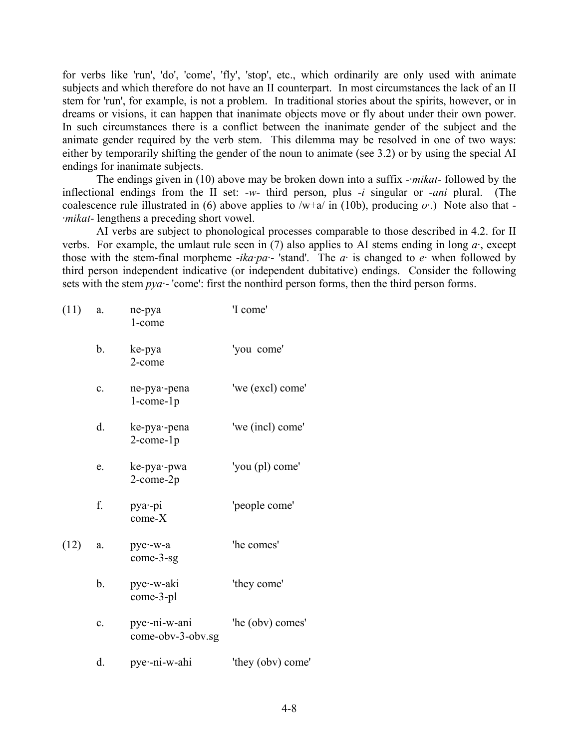for verbs like 'run', 'do', 'come', 'fly', 'stop', etc., which ordinarily are only used with animate subjects and which therefore do not have an II counterpart. In most circumstances the lack of an II stem for 'run', for example, is not a problem. In traditional stories about the spirits, however, or in dreams or visions, it can happen that inanimate objects move or fly about under their own power. In such circumstances there is a conflict between the inanimate gender of the subject and the animate gender required by the verb stem. This dilemma may be resolved in one of two ways: either by temporarily shifting the gender of the noun to animate (see 3.2) or by using the special AI endings for inanimate subjects.

The endings given in (10) above may be broken down into a suffix -*·mikat*- followed by the inflectional endings from the II set: -*w*- third person, plus -*i* singular or -*ani* plural. (The coalescence rule illustrated in (6) above applies to  $/w+a/$  in (10b), producing  $o$ .) Note also that -*·mikat*- lengthens a preceding short vowel.

AI verbs are subject to phonological processes comparable to those described in 4.2. for II verbs. For example, the umlaut rule seen in (7) also applies to AI stems ending in long *a·*, except those with the stem-final morpheme  $-ika\cdot pa - \cdot \cdot \cdot$  The *a*· is changed to *e*· when followed by third person independent indicative (or independent dubitative) endings. Consider the following sets with the stem *pya·*- 'come': first the nonthird person forms, then the third person forms.

| (11) | a.             | ne-pya<br>1-come                     | 'I come'          |
|------|----------------|--------------------------------------|-------------------|
|      | b.             | ke-pya<br>2-come                     | 'you come'        |
|      | $\mathbf{c}$ . | ne-pya--pena<br>$1$ -come- $1p$      | 'we (excl) come'  |
|      | d.             | ke-pya--pena<br>$2$ -come- $1p$      | 'we (incl) come'  |
|      | e.             | ke-pya - pwa<br>$2$ -come- $2p$      | 'you (pl) come'   |
|      | f.             | $pya$ -pi<br>$come-X$                | 'people come'     |
| (12) | a.             | pye--w-a<br>$come-3-sg$              | 'he comes'        |
|      | b.             | pye - w-aki<br>come-3-pl             | 'they come'       |
|      | $\mathbf{c}$ . | pye -- ni-w-ani<br>come-obv-3-obv.sg | 'he (obv) comes'  |
|      | d.             | pye -ni-w-ahi                        | 'they (obv) come' |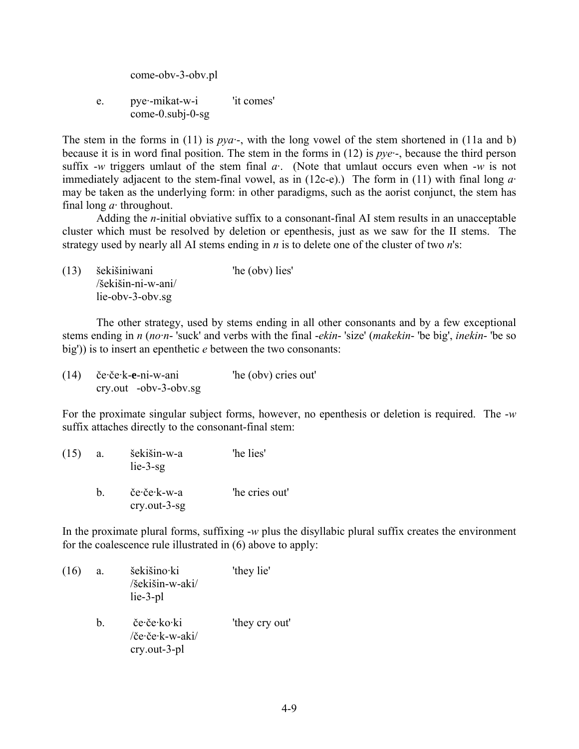come-obv-3-obv.pl

e. pye·-mikat-w-i 'it comes' come-0.subj-0-sg

The stem in the forms in (11) is *pya·*-, with the long vowel of the stem shortened in (11a and b) because it is in word final position. The stem in the forms in (12) is *pye·*-, because the third person suffix -*w* triggers umlaut of the stem final *a·*. (Note that umlaut occurs even when -*w* is not immediately adjacent to the stem-final vowel, as in (12c-e).) The form in (11) with final long *a·* may be taken as the underlying form: in other paradigms, such as the aorist conjunct, the stem has final long *a·* throughout.

Adding the *n*-initial obviative suffix to a consonant-final AI stem results in an unacceptable cluster which must be resolved by deletion or epenthesis, just as we saw for the II stems. The strategy used by nearly all AI stems ending in *n* is to delete one of the cluster of two *n*'s:

(13) šekišiniwani 'he (obv) lies' /šekišin-ni-w-ani/ lie-obv-3-obv.sg

The other strategy, used by stems ending in all other consonants and by a few exceptional stems ending in *n* (*no·n*- 'suck' and verbs with the final -*ekin*- 'size' (*makekin*- 'be big', *inekin*- 'be so big')) is to insert an epenthetic *e* between the two consonants:

| (14) | če·če·k-e-ni-w-ani                             | "he (obv) cries out" |  |
|------|------------------------------------------------|----------------------|--|
|      | $\text{cry.out } -\text{obv-3-} \text{obv.sg}$ |                      |  |

For the proximate singular subject forms, however, no epenthesis or deletion is required. The -*w* suffix attaches directly to the consonant-final stem:

| (15) | a. | šekišin-w-a<br>$lie-3-sg$                   | 'he lies'      |
|------|----|---------------------------------------------|----------------|
|      | h. | če∙če∙k-w-a<br>$\text{cry}.\text{out-3-sg}$ | 'he cries out' |

In the proximate plural forms, suffixing -*w* plus the disyllabic plural suffix creates the environment for the coalescence rule illustrated in (6) above to apply:

(16) a. šekišino·ki 'they lie' /šekišin-w-aki/ lie-3-pl b. če·če·ko·ki 'they cry out' /če·če·k-w-aki/ cry.out-3-pl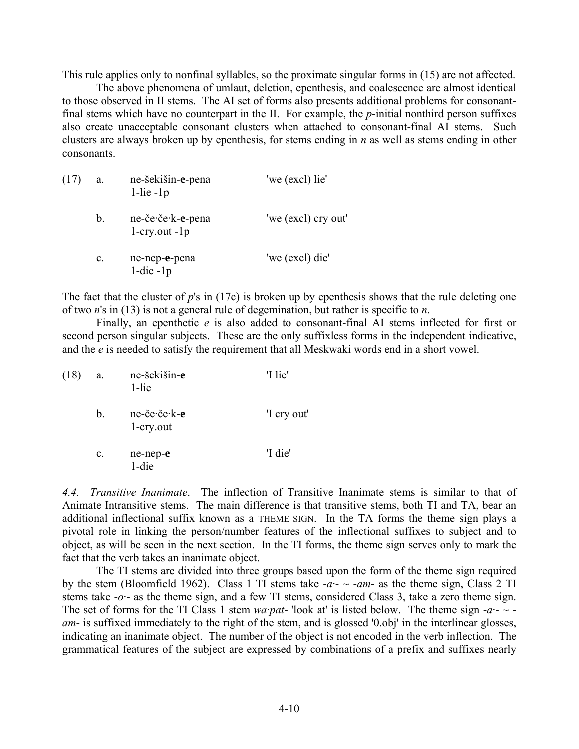This rule applies only to nonfinal syllables, so the proximate singular forms in (15) are not affected.

The above phenomena of umlaut, deletion, epenthesis, and coalescence are almost identical to those observed in II stems. The AI set of forms also presents additional problems for consonantfinal stems which have no counterpart in the II. For example, the *p*-initial nonthird person suffixes also create unacceptable consonant clusters when attached to consonant-final AI stems. Such clusters are always broken up by epenthesis, for stems ending in *n* as well as stems ending in other consonants.

| (17) | a.             | ne-šekišin-e-pena<br>$1$ -lie - $1p$  | 'we (excl) lie'     |
|------|----------------|---------------------------------------|---------------------|
|      | $b_{\cdot}$    | ne-če·če·k-e-pena<br>$1$ -cry.out -1p | 'we (excl) cry out' |
|      | $\mathbf{c}$ . | ne-nep-e-pena<br>$1$ -die - $1p$      | 'we (excl) die'     |

The fact that the cluster of *p*'s in (17c) is broken up by epenthesis shows that the rule deleting one of two *n*'s in (13) is not a general rule of degemination, but rather is specific to *n*.

Finally, an epenthetic *e* is also added to consonant-final AI stems inflected for first or second person singular subjects. These are the only suffixless forms in the independent indicative, and the *e* is needed to satisfy the requirement that all Meskwaki words end in a short vowel.

| (18) | a.             | ne-šekišin-e<br>1-lie        | 'I lie'     |
|------|----------------|------------------------------|-------------|
|      | $b_{\cdot}$    | ne-če·če·k-e<br>$1$ -cry.out | 'I cry out' |
|      | $\mathbf{c}$ . | ne-nep-e<br>1-die            | 'I die'     |

*4.4. Transitive Inanimate*. The inflection of Transitive Inanimate stems is similar to that of Animate Intransitive stems. The main difference is that transitive stems, both TI and TA, bear an additional inflectional suffix known as a THEME SIGN. In the TA forms the theme sign plays a pivotal role in linking the person/number features of the inflectional suffixes to subject and to object, as will be seen in the next section. In the TI forms, the theme sign serves only to mark the fact that the verb takes an inanimate object.

The TI stems are divided into three groups based upon the form of the theme sign required by the stem (Bloomfield 1962). Class 1 TI stems take  $-a - -a$ *m*- as the theme sign, Class 2 TI stems take -*o·*- as the theme sign, and a few TI stems, considered Class 3, take a zero theme sign. The set of forms for the TI Class 1 stem *wa·pat*- 'look at' is listed below. The theme sign  $-a - \sim$ *am*- is suffixed immediately to the right of the stem, and is glossed '0.obj' in the interlinear glosses, indicating an inanimate object. The number of the object is not encoded in the verb inflection. The grammatical features of the subject are expressed by combinations of a prefix and suffixes nearly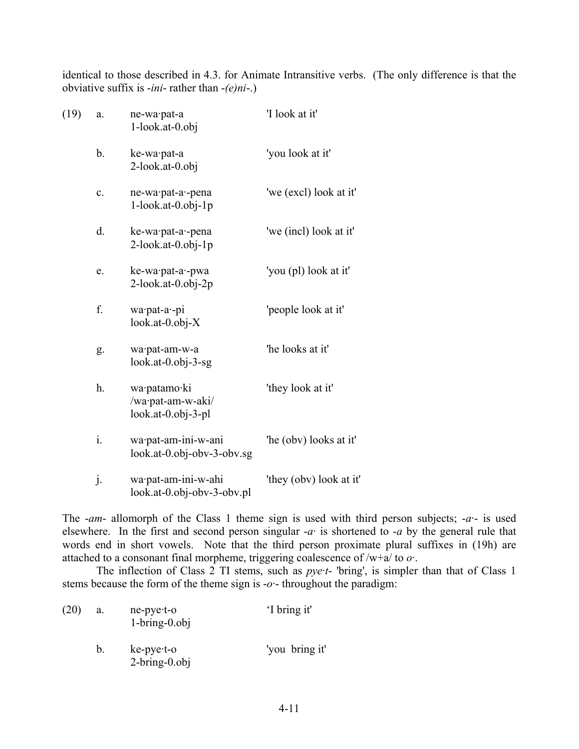identical to those described in 4.3. for Animate Intransitive verbs. (The only difference is that the obviative suffix is -*ini*- rather than -*(e)ni*-.)

| (19) | a.             | ne-wa·pat-a<br>$1$ -look.at-0.obj                       | 'I look at it'          |
|------|----------------|---------------------------------------------------------|-------------------------|
|      | b.             | ke-wa pat-a<br>2-look.at-0.obj                          | 'you look at it'        |
|      | $\mathbf{c}$ . | ne-wa·pat-a·-pena<br>$1$ -look.at-0.obj-1p              | 'we (excl) look at it'  |
|      | d.             | ke-wa·pat-a·-pena<br>$2$ -look.at-0.obj-1p              | 'we (incl) look at it'  |
|      | e.             | ke-wa·pat-a·-pwa<br>2-look.at-0.obj-2p                  | 'you (pl) look at it'   |
|      | f.             | wa pat-a -pi<br>$look.at-0.obj-X$                       | 'people look at it'     |
|      | g.             | wa·pat-am-w-a<br>$look.at-0.obj-3-sg$                   | 'he looks at it'        |
|      | h.             | wa·patamo·ki<br>/wa·pat-am-w-aki/<br>look.at-0.obj-3-pl | 'they look at it'       |
|      | $\mathbf{i}$ . | wa·pat-am-ini-w-ani<br>look.at-0.obj-obv-3-obv.sg       | 'he (obv) looks at it'  |
|      | j.             | wa·pat-am-ini-w-ahi<br>look.at-0.obj-obv-3-obv.pl       | 'they (obv) look at it' |

The -*am*- allomorph of the Class 1 theme sign is used with third person subjects; -*a·*- is used elsewhere. In the first and second person singular -*a·* is shortened to -*a* by the general rule that words end in short vowels. Note that the third person proximate plural suffixes in (19h) are attached to a consonant final morpheme, triggering coalescence of /w+a/ to *o·*.

The inflection of Class 2 TI stems, such as *pye·t*- 'bring', is simpler than that of Class 1 stems because the form of the theme sign is -*o·*- throughout the paradigm:

| (20) | a. | $ne-pye-t-o$<br>$1-bring-0.$ obj         | 'I bring it'   |
|------|----|------------------------------------------|----------------|
|      | b. | $ke$ -pye $\cdot$ t-o<br>$2-bring-0.0bj$ | 'you bring it' |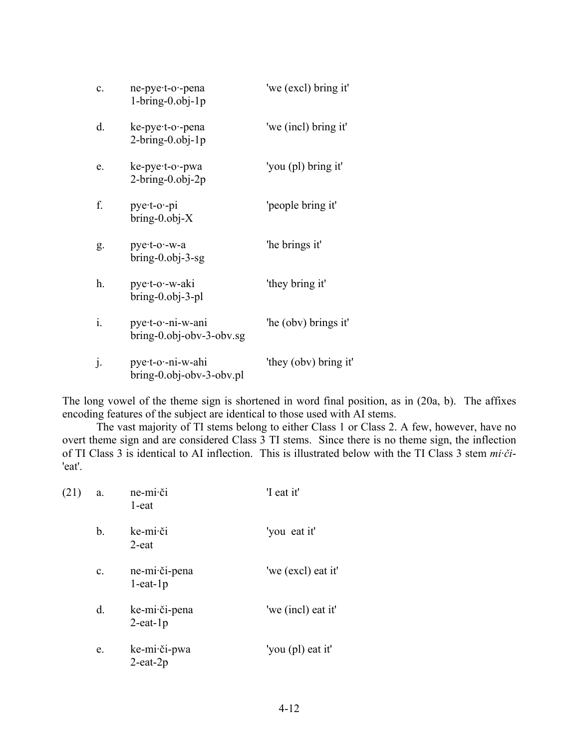| $\mathbf{c}$ . | ne-pye·t-o·-pena<br>$1 - bring - 0.$ obj $-1p$ | 'we (excl) bring it'  |
|----------------|------------------------------------------------|-----------------------|
| d.             | ke-pye-t-o--pena<br>$2-bring-0.0bj-1p$         | 'we (incl) bring it'  |
| e.             | ke-pye-t-o--pwa<br>$2-bring-0.0bj-2p$          | 'you (pl) bring it'   |
| f.             | $pye$ t-o --pi<br>$bring-0.0bj-X$              | 'people bring it'     |
| g.             | pye-t-o--w-a<br>$bring-0.0bj-3-sg$             | 'he brings it'        |
| h.             | pye·t-o·-w-aki<br>$bring-0.0bj-3-pl$           | 'they bring it'       |
| $\mathbf{i}$ . | pye·t-o·-ni-w-ani<br>bring-0.obj-obv-3-obv.sg  | 'he (obv) brings it'  |
| j.             | pye-t-o--ni-w-ahi<br>bring-0.obj-obv-3-obv.pl  | 'they (obv) bring it' |

The long vowel of the theme sign is shortened in word final position, as in (20a, b). The affixes encoding features of the subject are identical to those used with AI stems.

The vast majority of TI stems belong to either Class 1 or Class 2. A few, however, have no overt theme sign and are considered Class 3 TI stems. Since there is no theme sign, the inflection of TI Class 3 is identical to AI inflection. This is illustrated below with the TI Class 3 stem *mi·či*- 'eat'.

| (21) | a.             | ne-mi·či<br>$1$ -eat            | 'I eat it'         |
|------|----------------|---------------------------------|--------------------|
|      | b.             | ke-mi·či<br>2-eat               | 'you eat it'       |
|      | $\mathbf{c}$ . | ne-mi·či-pena<br>$1$ -eat- $1p$ | 'we (excl) eat it' |
|      | d.             | ke-mi·či-pena<br>$2$ -eat-1 $p$ | 'we (incl) eat it' |
|      | e.             | ke-mi·či-pwa<br>$2$ -eat- $2p$  | 'you (pl) eat it'  |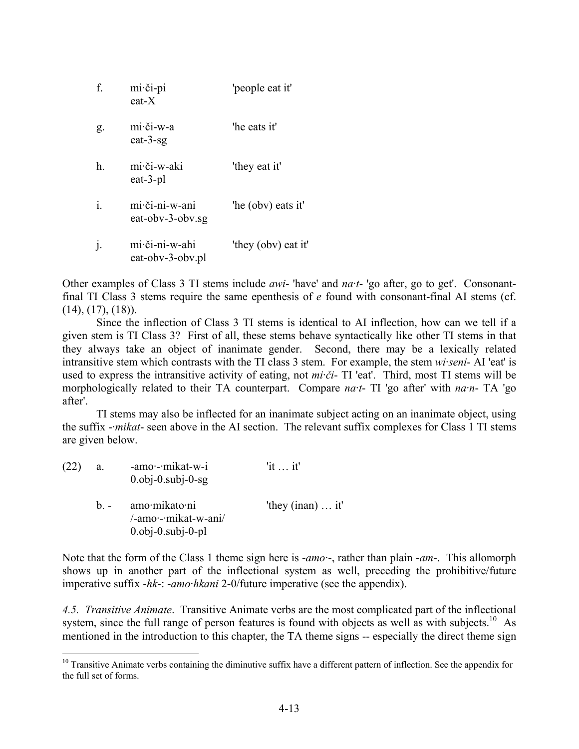| f. | mi·či-pi<br>$eat-X$                | 'people eat it'     |
|----|------------------------------------|---------------------|
| g. | mi·či-w-a<br>eat- $3$ -sg          | 'he eats it'        |
| h. | mi·či-w-aki<br>eat-3-pl            | 'they eat it'       |
| i. | mi či-ni-w-ani<br>eat-oby-3-oby.sg | 'he (obv) eats it'  |
|    | mi či-ni-w-ahi<br>eat-oby-3-oby.pl | 'they (obv) eat it' |

Other examples of Class 3 TI stems include *awi*- 'have' and *na·t*- 'go after, go to get'. Consonantfinal TI Class 3 stems require the same epenthesis of *e* found with consonant-final AI stems (cf.  $(14)$ ,  $(17)$ ,  $(18)$ ).

Since the inflection of Class 3 TI stems is identical to AI inflection, how can we tell if a given stem is TI Class 3? First of all, these stems behave syntactically like other TI stems in that they always take an object of inanimate gender. Second, there may be a lexically related intransitive stem which contrasts with the TI class 3 stem. For example, the stem *wi·seni*- AI 'eat' is used to express the intransitive activity of eating, not *mi·či*- TI 'eat'. Third, most TI stems will be morphologically related to their TA counterpart. Compare *na·t*- TI 'go after' with *na·n*- TA 'go after'.

TI stems may also be inflected for an inanimate subject acting on an inanimate object, using the suffix -*·mikat*- seen above in the AI section. The relevant suffix complexes for Class 1 TI stems are given below.

| (22) | a.    | -amo · - mikat-w-i<br>$0.0$ <sub>b</sub> $-0.$ sub $-0.9$                         | 'it $\ldots$ it'             |
|------|-------|-----------------------------------------------------------------------------------|------------------------------|
|      | $h -$ | amo·mikato·ni<br>/-amo·-·mikat-w-ani/<br>$0.0$ <sub>b</sub> $-0.$ sub $-0$ $-$ pl | 'they $($ inan $) \dots$ it' |

1

Note that the form of the Class 1 theme sign here is -*amo·*-, rather than plain -*am*-. This allomorph shows up in another part of the inflectional system as well, preceding the prohibitive/future imperative suffix -*hk*-: -*amo·hkani* 2-0/future imperative (see the appendix).

*4.5. Transitive Animate*. Transitive Animate verbs are the most complicated part of the inflectional system, since the full range of person features is found with objects as well as with subjects.<sup>10</sup> As mentioned in the introduction to this chapter, the TA theme signs -- especially the direct theme sign

 $10$  Transitive Animate verbs containing the diminutive suffix have a different pattern of inflection. See the appendix for the full set of forms.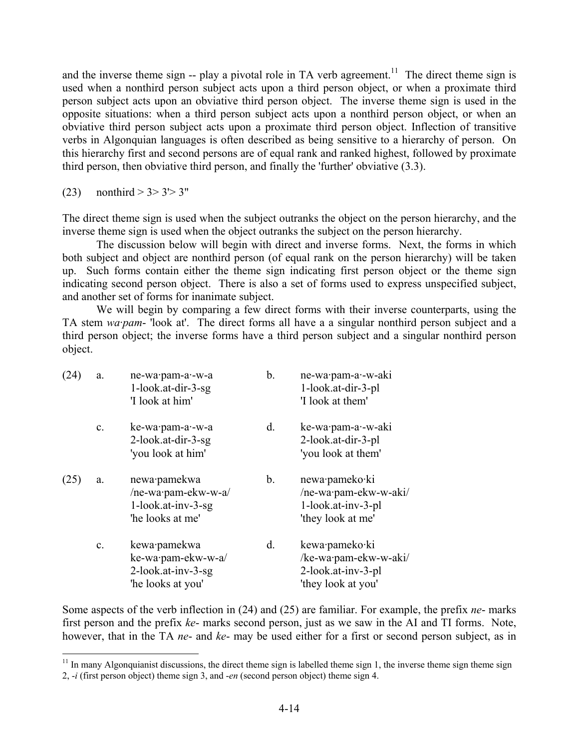and the inverse theme sign -- play a pivotal role in TA verb agreement.<sup>11</sup> The direct theme sign is used when a nonthird person subject acts upon a third person object, or when a proximate third person subject acts upon an obviative third person object. The inverse theme sign is used in the opposite situations: when a third person subject acts upon a nonthird person object, or when an obviative third person subject acts upon a proximate third person object. Inflection of transitive verbs in Algonquian languages is often described as being sensitive to a hierarchy of person. On this hierarchy first and second persons are of equal rank and ranked highest, followed by proximate third person, then obviative third person, and finally the 'further' obviative (3.3).

(23) nonthird  $> 3 > 3' > 3''$ 

1

The direct theme sign is used when the subject outranks the object on the person hierarchy, and the inverse theme sign is used when the object outranks the subject on the person hierarchy.

The discussion below will begin with direct and inverse forms. Next, the forms in which both subject and object are nonthird person (of equal rank on the person hierarchy) will be taken up. Such forms contain either the theme sign indicating first person object or the theme sign indicating second person object. There is also a set of forms used to express unspecified subject, and another set of forms for inanimate subject.

We will begin by comparing a few direct forms with their inverse counterparts, using the TA stem *wa·pam*- 'look at'. The direct forms all have a a singular nonthird person subject and a third person object; the inverse forms have a third person subject and a singular nonthird person object.

| (24) | a.             | ne-wa·pam-a·-w-a<br>$1$ -look.at-dir-3-sg<br>'I look at him'                  | b. | ne-wa·pam-a·-w-aki<br>1-look.at-dir-3-pl<br>'I look at them'                        |
|------|----------------|-------------------------------------------------------------------------------|----|-------------------------------------------------------------------------------------|
|      | $\mathbf{c}$ . | ke-wa·pam-a·-w-a<br>2-look.at-dir-3-sg<br>'you look at him'                   | d. | ke-wa·pam-a·-w-aki<br>2-look.at-dir-3-pl<br>'you look at them'                      |
| (25) | a.             | newa·pamekwa<br>/ne-wa·pam-ekw-w-a/<br>1-look.at-inv-3-sg<br>'he looks at me' | b. | newa·pameko·ki<br>/ne-wa·pam-ekw-w-aki/<br>1-look.at-inv-3-pl<br>'they look at me'  |
|      | $\mathbf{c}$ . | kewa·pamekwa<br>ke-wa·pam-ekw-w-a/<br>2-look.at-inv-3-sg<br>'he looks at you' | d. | kewa·pameko·ki<br>/ke-wa·pam-ekw-w-aki/<br>2-look.at-inv-3-pl<br>'they look at you' |

Some aspects of the verb inflection in (24) and (25) are familiar. For example, the prefix *ne*- marks first person and the prefix *ke*- marks second person, just as we saw in the AI and TI forms. Note, however, that in the TA *ne*- and *ke*- may be used either for a first or second person subject, as in

 $11$  In many Algonquianist discussions, the direct theme sign is labelled theme sign 1, the inverse theme sign theme sign 2, -*i* (first person object) theme sign 3, and -*en* (second person object) theme sign 4.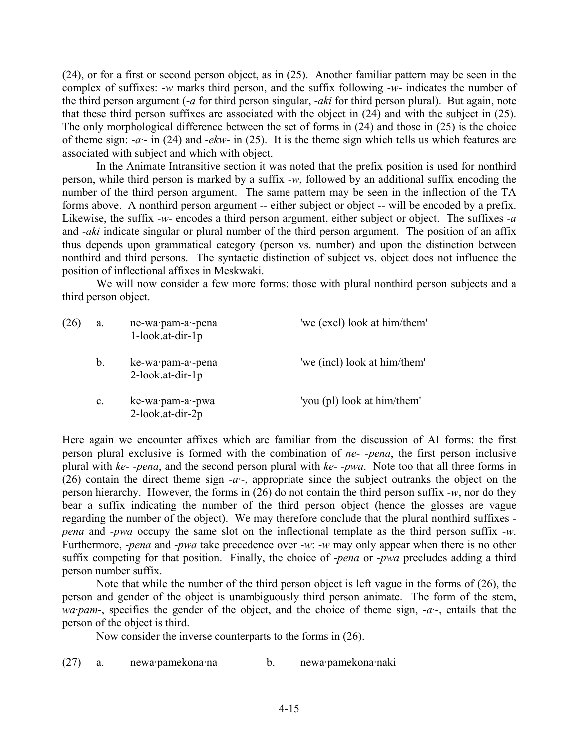(24), or for a first or second person object, as in (25). Another familiar pattern may be seen in the complex of suffixes: -*w* marks third person, and the suffix following -*w*- indicates the number of the third person argument (-*a* for third person singular, -*aki* for third person plural). But again, note that these third person suffixes are associated with the object in (24) and with the subject in (25). The only morphological difference between the set of forms in (24) and those in (25) is the choice of theme sign: -*a·*- in (24) and -*ekw*- in (25). It is the theme sign which tells us which features are associated with subject and which with object.

In the Animate Intransitive section it was noted that the prefix position is used for nonthird person, while third person is marked by a suffix -*w*, followed by an additional suffix encoding the number of the third person argument. The same pattern may be seen in the inflection of the TA forms above. A nonthird person argument -- either subject or object -- will be encoded by a prefix. Likewise, the suffix -*w*- encodes a third person argument, either subject or object. The suffixes -*a* and -*aki* indicate singular or plural number of the third person argument. The position of an affix thus depends upon grammatical category (person vs. number) and upon the distinction between nonthird and third persons. The syntactic distinction of subject vs. object does not influence the position of inflectional affixes in Meskwaki.

We will now consider a few more forms: those with plural nonthird person subjects and a third person object.

| (26) | a.             | ne-wa·pam-a·-pena<br>1-look.at-dir-1p | 'we (excl) look at him/them' |
|------|----------------|---------------------------------------|------------------------------|
|      | b.             | ke-wa·pam-a·-pena<br>2-look.at-dir-1p | 'we (incl) look at him/them' |
|      | $\mathbf{c}$ . | ke-wa·pam-a·-pwa<br>2-look.at-dir-2p  | 'you (pl) look at him/them'  |

Here again we encounter affixes which are familiar from the discussion of AI forms: the first person plural exclusive is formed with the combination of *ne*- -*pena*, the first person inclusive plural with *ke*- -*pena*, and the second person plural with *ke*- -*pwa*. Note too that all three forms in (26) contain the direct theme sign -*a·*-, appropriate since the subject outranks the object on the person hierarchy. However, the forms in (26) do not contain the third person suffix -*w*, nor do they bear a suffix indicating the number of the third person object (hence the glosses are vague regarding the number of the object). We may therefore conclude that the plural nonthird suffixes *pena* and -*pwa* occupy the same slot on the inflectional template as the third person suffix -*w*. Furthermore, -*pena* and -*pwa* take precedence over -*w*: -*w* may only appear when there is no other suffix competing for that position. Finally, the choice of -*pena* or -*pwa* precludes adding a third person number suffix.

Note that while the number of the third person object is left vague in the forms of  $(26)$ , the person and gender of the object is unambiguously third person animate. The form of the stem, *wa·pam*-, specifies the gender of the object, and the choice of theme sign, -*a·*-, entails that the person of the object is third.

Now consider the inverse counterparts to the forms in (26).

(27) a. newa·pamekona·na b. newa·pamekona·naki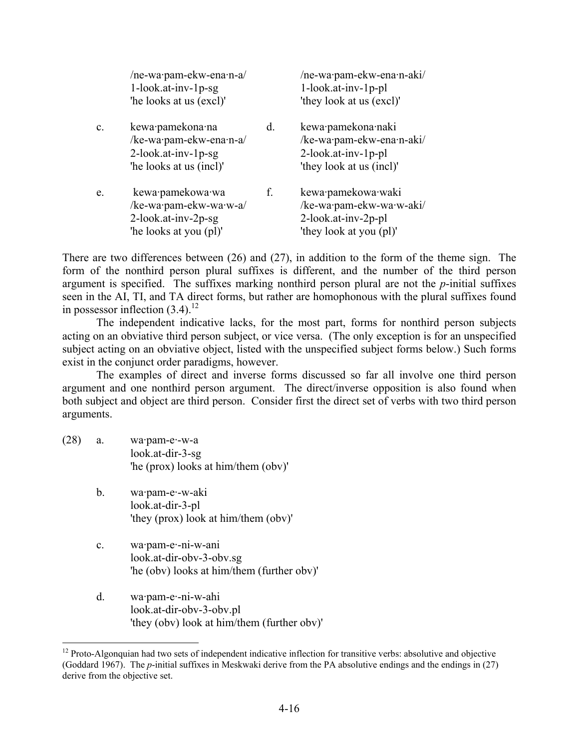|                | /ne-wa·pam-ekw-ena·n-a/<br>1-look.at-inv-1p-sg<br>'he looks at us (excl)'                     |    | /ne-wa·pam-ekw-ena·n-aki/<br>1-look.at-inv-1p-pl<br>'they look at us (excl)'                          |
|----------------|-----------------------------------------------------------------------------------------------|----|-------------------------------------------------------------------------------------------------------|
| $\mathbf{c}$ . | kewa·pamekona·na<br>/ke-wa·pam-ekw-ena·n-a/<br>2-look.at-inv-1p-sg<br>'he looks at us (incl)' | d. | kewa·pamekona·naki<br>/ke-wa·pam-ekw-ena·n-aki/<br>$2$ -look.at-inv-1p-pl<br>'they look at us (incl)' |
| e.             | kewa·pamekowa·wa<br>/ke-wa·pam-ekw-wa·w-a/<br>2-look.at-inv-2p-sg<br>'he looks at you (pl)'   | f. | kewa·pamekowa·waki<br>/ke-wa·pam-ekw-wa·w-aki/<br>2-look.at-inv-2p-pl<br>'they look at you (pl)'      |

There are two differences between (26) and (27), in addition to the form of the theme sign. The form of the nonthird person plural suffixes is different, and the number of the third person argument is specified. The suffixes marking nonthird person plural are not the *p*-initial suffixes seen in the AI, TI, and TA direct forms, but rather are homophonous with the plural suffixes found in possessor inflection  $(3.4)$ .<sup>12</sup>

The independent indicative lacks, for the most part, forms for nonthird person subjects acting on an obviative third person subject, or vice versa. (The only exception is for an unspecified subject acting on an obviative object, listed with the unspecified subject forms below.) Such forms exist in the conjunct order paradigms, however.

The examples of direct and inverse forms discussed so far all involve one third person argument and one nonthird person argument. The direct/inverse opposition is also found when both subject and object are third person. Consider first the direct set of verbs with two third person arguments.

 $(28)$  a. wa $\cdot$  pam-e $\cdot$ -w-a look.at-dir-3-sg 'he (prox) looks at him/them (obv)'

- b. wa·pam-e·-w-aki look.at-dir-3-pl 'they (prox) look at him/them (obv)'
- c. wa·pam-e·-ni-w-ani look.at-dir-obv-3-obv.sg 'he (obv) looks at him/them (further obv)'
- d. wa·pam-e·-ni-w-ahi look.at-dir-obv-3-obv.pl 'they (obv) look at him/them (further obv)'

<sup>&</sup>lt;sup>12</sup> Proto-Algonquian had two sets of independent indicative inflection for transitive verbs: absolutive and objective (Goddard 1967). The *p*-initial suffixes in Meskwaki derive from the PA absolutive endings and the endings in (27) derive from the objective set.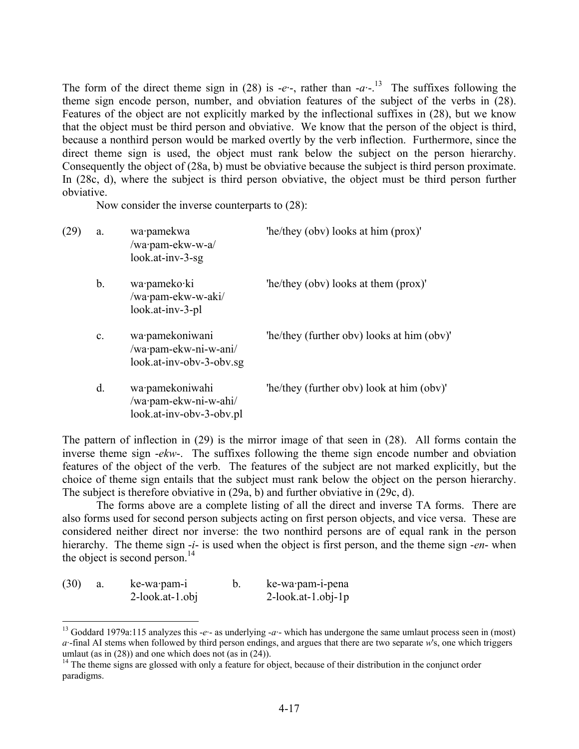The form of the direct theme sign in (28) is -*e*<sup>-</sup>-, rather than  $-a^{-1}$ <sup>3</sup>. The suffixes following the theme sign encode person, number, and obviation features of the subject of the verbs in (28). Features of the object are not explicitly marked by the inflectional suffixes in (28), but we know that the object must be third person and obviative. We know that the person of the object is third, because a nonthird person would be marked overtly by the verb inflection. Furthermore, since the direct theme sign is used, the object must rank below the subject on the person hierarchy. Consequently the object of (28a, b) must be obviative because the subject is third person proximate. In (28c, d), where the subject is third person obviative, the object must be third person further obviative.

Now consider the inverse counterparts to (28):

| (29) | a.             | wa·pamekwa<br>/wa·pam-ekw-w-a/<br>$look.at-inv-3-sg$                 | 'he/they (obv) looks at him (prox)'        |
|------|----------------|----------------------------------------------------------------------|--------------------------------------------|
|      | b.             | wa·pameko·ki<br>/wa·pam-ekw-w-aki/<br>look.at-inv-3-pl               | 'he/they (obv) looks at them (prox)'       |
|      | $\mathbf{c}$ . | wa·pamekoniwani<br>/wa·pam-ekw-ni-w-ani/<br>look.at-inv-obv-3-obv.sg | 'he/they (further oby) looks at him (oby)' |
|      | d.             | wa·pamekoniwahi<br>/wa·pam-ekw-ni-w-ahi/<br>look.at-inv-obv-3-obv.pl | 'he/they (further oby) look at him (oby)'  |

The pattern of inflection in (29) is the mirror image of that seen in (28). All forms contain the inverse theme sign -*ekw*-. The suffixes following the theme sign encode number and obviation features of the object of the verb. The features of the subject are not marked explicitly, but the choice of theme sign entails that the subject must rank below the object on the person hierarchy. The subject is therefore obviative in (29a, b) and further obviative in (29c, d).

The forms above are a complete listing of all the direct and inverse TA forms. There are also forms used for second person subjects acting on first person objects, and vice versa. These are considered neither direct nor inverse: the two nonthird persons are of equal rank in the person hierarchy. The theme sign -*i*- is used when the object is first person, and the theme sign -*en*- when the object is second person.<sup>14</sup>

| (30) | ke-wa pam-i        | ke-wa·pam-i-pena      |
|------|--------------------|-----------------------|
|      | $2$ -look.at-1.obj | $2$ -look.at-1.obj-1p |

<sup>13</sup> Goddard 1979a:115 analyzes this -*e·*- as underlying -*a·*- which has undergone the same umlaut process seen in (most) *a·*-final AI stems when followed by third person endings, and argues that there are two separate *w*'s, one which triggers umlaut (as in  $(28)$ ) and one which does not (as in  $(24)$ ).

<sup>&</sup>lt;sup>14</sup> The theme signs are glossed with only a feature for object, because of their distribution in the conjunct order paradigms.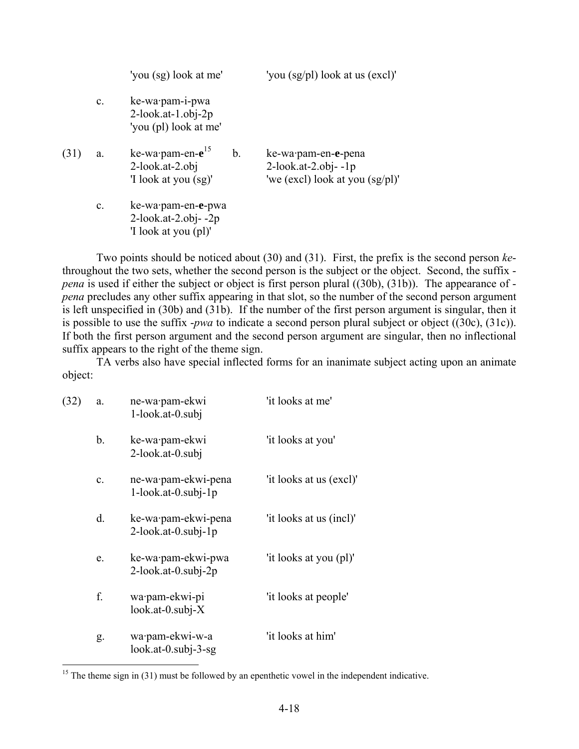|      |                | 'you (sg) look at me'                                                        |    | 'you (sg/pl) look at us (excl)'                                                     |
|------|----------------|------------------------------------------------------------------------------|----|-------------------------------------------------------------------------------------|
|      | $\mathbf{c}$ . | ke-wa·pam-i-pwa<br>$2$ -look.at-1.obj-2p<br>'you (pl) look at me'            |    |                                                                                     |
| (31) | a.             | ke-wa $\cdot$ pam-en- $e^{15}$<br>$2$ -look.at-2.obj<br>'I look at you (sg)' | b. | ke-wa·pam-en-e-pena<br>$2$ -look.at-2.obj- $-1p$<br>'we (excl) look at you (sg/pl)' |
|      | $\mathbf{c}$ . | ke-wa·pam-en-e-pwa<br>$2$ -look.at-2.obj- $-2p$<br>'I look at you (pl)'      |    |                                                                                     |

Two points should be noticed about (30) and (31). First, the prefix is the second person *ke*throughout the two sets, whether the second person is the subject or the object. Second, the suffix *pena* is used if either the subject or object is first person plural ((30b), (31b)). The appearance of *pena* precludes any other suffix appearing in that slot, so the number of the second person argument is left unspecified in (30b) and (31b). If the number of the first person argument is singular, then it is possible to use the suffix -*pwa* to indicate a second person plural subject or object ((30c), (31c)). If both the first person argument and the second person argument are singular, then no inflectional suffix appears to the right of the theme sign.

TA verbs also have special inflected forms for an inanimate subject acting upon an animate object:

| (32) | a.             | ne-wa·pam-ekwi<br>1-look.at-0.subj            | 'it looks at me'        |
|------|----------------|-----------------------------------------------|-------------------------|
|      | b.             | ke-wa·pam-ekwi<br>2-look.at-0.subj            | 'it looks at you'       |
|      | $\mathbf{c}$ . | ne-wa·pam-ekwi-pena<br>$1$ -look.at-0.subj-1p | 'it looks at us (excl)' |
|      | d.             | ke-wa·pam-ekwi-pena<br>$2$ -look.at-0.subj-1p | 'it looks at us (incl)' |
|      | e.             | ke-wa·pam-ekwi-pwa<br>$2$ -look.at-0.subj-2p  | 'it looks at you (pl)'  |
|      | f.             | wa·pam-ekwi-pi<br>$look.at-0.subj-X$          | 'it looks at people'    |
|      | g.             | wa·pam-ekwi-w-a<br>$look.at-0.subj-3-sg$      | 'it looks at him'       |

<u>.</u>

 $15$  The theme sign in (31) must be followed by an epenthetic vowel in the independent indicative.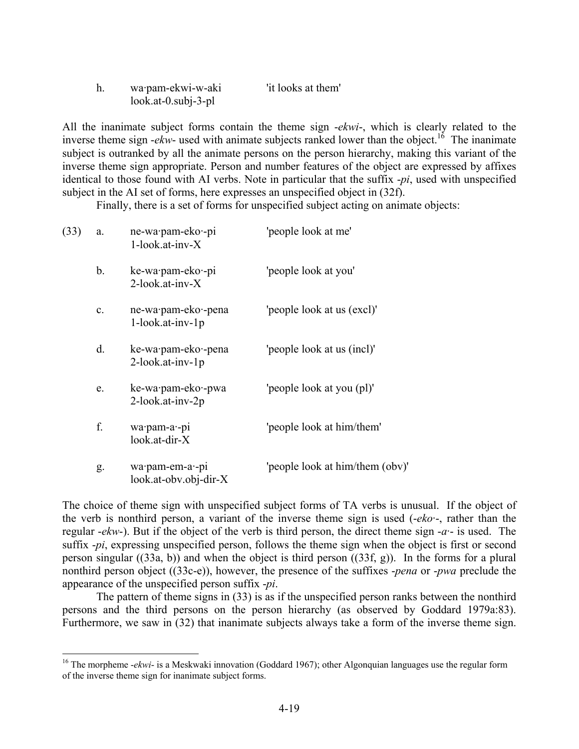| wa·pam-ekwi-w-aki     | 'it looks at them' |  |
|-----------------------|--------------------|--|
| $look.at-0.subj-3-pl$ |                    |  |

All the inanimate subject forms contain the theme sign -*ekwi*-, which is clearly related to the inverse theme sign  $-ekw$ - used with animate subjects ranked lower than the object.<sup>16</sup> The inanimate subject is outranked by all the animate persons on the person hierarchy, making this variant of the inverse theme sign appropriate. Person and number features of the object are expressed by affixes identical to those found with AI verbs. Note in particular that the suffix -*pi*, used with unspecified subject in the AI set of forms, here expresses an unspecified object in (32f).

Finally, there is a set of forms for unspecified subject acting on animate objects:

| (33) | a.             | ne-wa·pam-eko·-pi<br>1-look.at-inv-X           | 'people look at me'             |
|------|----------------|------------------------------------------------|---------------------------------|
|      | b.             | ke-wa·pam-eko·-pi<br>$2$ -look.at-inv- $X$     | 'people look at you'            |
|      | $\mathbf{c}$ . | ne-wa·pam-eko·-pena<br>$1$ -look.at-inv- $1p$  | 'people look at us (excl)'      |
|      | d.             | ke-wa·pam-eko·-pena<br>2-look.at-inv-1p        | 'people look at us (incl)'      |
|      | e.             | ke-wa·pam-eko·-pwa<br>2-look.at-inv-2p         | 'people look at you (pl)'       |
|      | f.             | wa·pam-a·-pi<br>look.at-dir-X                  | 'people look at him/them'       |
|      | g.             | wa·pam-em-a·-pi<br>$look.$ at-obv.obj-dir- $X$ | 'people look at him/them (obv)' |

1

The choice of theme sign with unspecified subject forms of TA verbs is unusual. If the object of the verb is nonthird person, a variant of the inverse theme sign is used (-*eko·*-, rather than the regular -*ekw*-). But if the object of the verb is third person, the direct theme sign -*a·*- is used. The suffix -*pi*, expressing unspecified person, follows the theme sign when the object is first or second person singular ((33a, b)) and when the object is third person ((33f, g)). In the forms for a plural nonthird person object ((33c-e)), however, the presence of the suffixes -*pena* or -*pwa* preclude the appearance of the unspecified person suffix -*pi*.

The pattern of theme signs in (33) is as if the unspecified person ranks between the nonthird persons and the third persons on the person hierarchy (as observed by Goddard 1979a:83). Furthermore, we saw in (32) that inanimate subjects always take a form of the inverse theme sign.

<sup>&</sup>lt;sup>16</sup> The morpheme *-ekwi-* is a Meskwaki innovation (Goddard 1967); other Algonquian languages use the regular form of the inverse theme sign for inanimate subject forms.